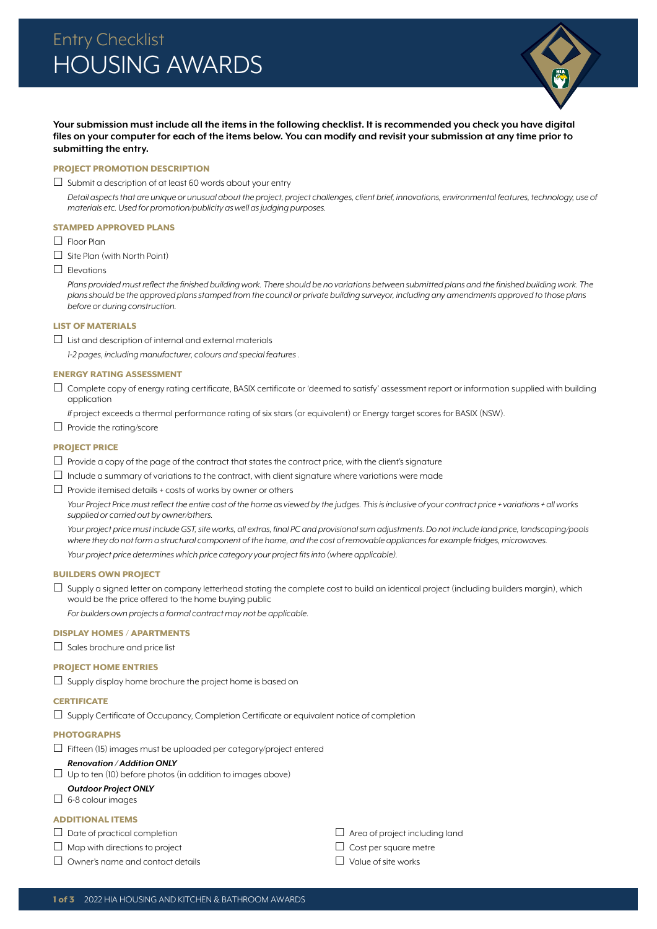

**Your submission must include all the items in the following checklist. It is recommended you check you have digital files on your computer for each of the items below. You can modify and revisit your submission at any time prior to submitting the entry.**

### PROJECT PROMOTION DESCRIPTION

 $\Box$  Submit a description of at least 60 words about your entry

Detail aspects that are unique or unusual about the project, project challenges, client brief, innovations, environmental features, technology, use of *materials etc. Used for promotion/publicity as well as judging purposes.*

### STAMPED APPROVED PLANS

 $\Box$  Floor Plan

 $\Box$  Site Plan (with North Point)

 $\Box$  Elevations

Plans provided must reflect the finished building work. There should be no variations between submitted plans and the finished building work. The *plans should be the approved plans stamped from the council or private building surveyor, including any amendments approved to those plans before or during construction.*

### LIST OF MATERIALS

 $\Box$  List and description of internal and external materials

*1-2 pages, including manufacturer, colours and special features .*

#### ENERGY RATING ASSESSMENT

 $\Box$  Complete copy of energy rating certificate, BASIX certificate or 'deemed to satisfy' assessment report or information supplied with building application

*If* project exceeds a thermal performance rating of six stars (or equivalent) or Energy target scores for BASIX (NSW).

 $\Box$  Provide the rating/score

### PROJECT PRICE

- $\Box$  Provide a copy of the page of the contract that states the contract price, with the client's signature
- $\Box$  Include a summary of variations to the contract, with client signature where variations were made

 $\Box$  Provide itemised details + costs of works by owner or others

*Your Project Price must reflect the entire cost of the home as viewed by the judges. This is inclusive of your contract price + variations + all works supplied or carried out by owner/others.* 

*Your project price must include GST, site works, all extras, final PC and provisional sum adjustments. Do not include land price, landscaping/pools where they do not form a structural component of the home, and the cost of removable appliances for example fridges, microwaves. Your project price determines which price category your project fits into (where applicable).*

BUILDERS OWN PROJECT

 $\Box$  Supply a signed letter on company letterhead stating the complete cost to build an identical project (including builders margin), which would be the price offered to the home buying public

*For builders own projects a formal contract may not be applicable.* 

# DISPLAY HOMES / APARTMENTS

 $\Box$  Sales brochure and price list

### PROJECT HOME ENTRIES

 $\square$  Supply display home brochure the project home is based on

# **CERTIFICATE**

 $\square$  Supply Certificate of Occupancy, Completion Certificate or equivalent notice of completion

# PHOTOGRAPHS

 $\Box$  Fifteen (15) images must be uploaded per category/project entered

### *Renovation / Addition ONLY*

 $\Box$  Up to ten (10) before photos (in addition to images above)

### *Outdoor Project ONLY*

 $\Box$  6-8 colour images

# ADDITIONAL ITEMS

 $\Box$  Date of practical completion

- $\Box$  Map with directions to project
- $\Box$  Owner's name and contact details

 $\Box$  Area of project including land

 $\Box$  Cost per square metre

 $\Box$  Value of site works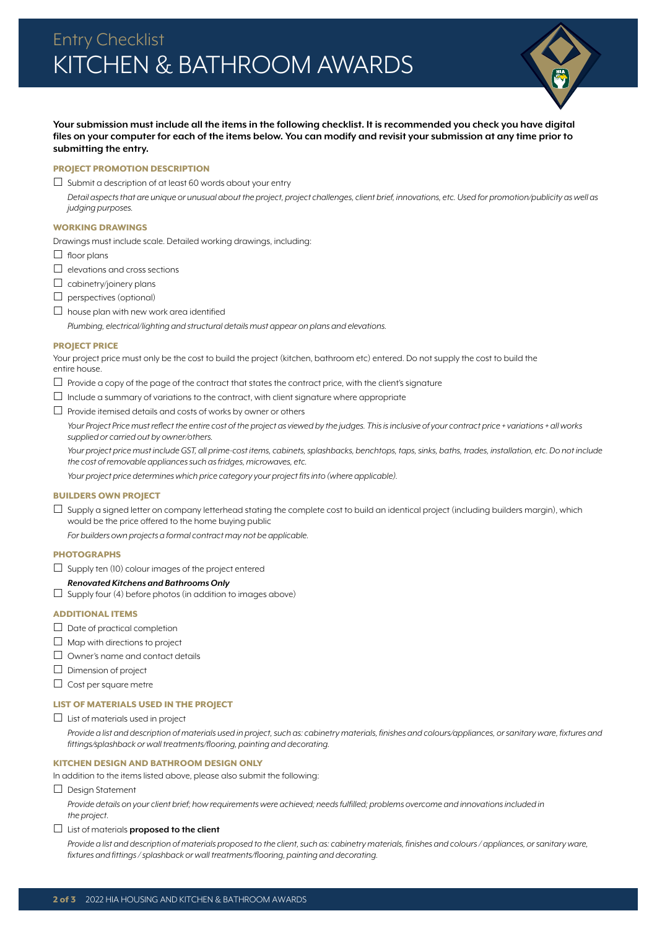

# **Your submission must include all the items in the following checklist. It is recommended you check you have digital files on your computer for each of the items below. You can modify and revisit your submission at any time prior to submitting the entry.**

## PROJECT PROMOTION DESCRIPTION

 $\Box$  Submit a description of at least 60 words about your entry

*Detail aspects that are unique or unusual about the project, project challenges, client brief, innovations, etc. Used for promotion/publicity as well as judging purposes.*

### WORKING DRAWINGS

Drawings must include scale. Detailed working drawings, including:

- $\Box$  floor plans
- $\Box$  elevations and cross sections
- $\Box$  cabinetry/joinery plans
- $\Box$  perspectives (optional)
- $\Box$  house plan with new work area identified
	- *Plumbing, electrical/lighting and structural details must appear on plans and elevations.*

#### PROJECT PRICE

Your project price must only be the cost to build the project (kitchen, bathroom etc) entered. Do not supply the cost to build the entire house.

- $\Box$  Provide a copy of the page of the contract that states the contract price, with the client's signature
- $\Box$  Include a summary of variations to the contract, with client signature where appropriate
- $\Box$  Provide itemised details and costs of works by owner or others

*Your Project Price must reflect the entire cost of the project as viewed by the judges. This is inclusive of your contract price + variations + all works supplied or carried out by owner/others.* 

*Your project price must include GST, all prime-cost items, cabinets, splashbacks, benchtops, taps, sinks, baths, trades, installation, etc. Do not include the cost of removable appliances such as fridges, microwaves, etc.* 

*Your project price determines which price category your project fits into (where applicable).*

# BUILDERS OWN PROJECT

 $\Box$  Supply a signed letter on company letterhead stating the complete cost to build an identical project (including builders margin), which would be the price offered to the home buying public

*For builders own projects a formal contract may not be applicable.*

# **PHOTOGRAPHS**

- $\Box$  Supply ten (10) colour images of the project entered
- *Renovated Kitchens and Bathrooms Only*
- $\Box$  Supply four (4) before photos (in addition to images above)

#### ADDITIONAL ITEMS

- $\Box$  Date of practical completion
- $\Box$  Map with directions to project
- $\Box$  Owner's name and contact details
- $\square$  Dimension of project
- $\Box$  Cost per square metre

### LIST OF MATERIALS USED IN THE PROJECT

 $\Box$  List of materials used in project

*Provide a list and description of materials used in project, such as: cabinetry materials, finishes and colours/appliances, or sanitary ware, fixtures and fittings/splashback or wall treatments/flooring, painting and decorating.*

#### KITCHEN DESIGN AND BATHROOM DESIGN ONLY

In addition to the items listed above, please also submit the following:

Design Statement

Provide details on your client brief; how requirements were achieved; needs fulfilled; problems overcome and innovations included in *the project.* 

#### List of materials **proposed to the client**

*Provide a list and description of materials proposed to the client, such as: cabinetry materials, finishes and colours / appliances, or sanitary ware, fixtures and fittings / splashback or wall treatments/flooring, painting and decorating.*